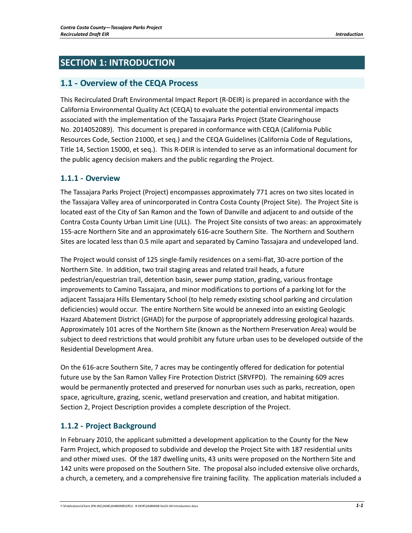# **SECTION 1: INTRODUCTION**

## **1.1 ‐ Overview of the CEQA Process**

This Recirculated Draft Environmental Impact Report (R‐DEIR) is prepared in accordance with the California Environmental Quality Act (CEQA) to evaluate the potential environmental impacts associated with the implementation of the Tassajara Parks Project (State Clearinghouse No. 2014052089). This document is prepared in conformance with CEQA (California Public Resources Code, Section 21000, et seq.) and the CEQA Guidelines (California Code of Regulations, Title 14, Section 15000, et seq.). This R‐DEIR is intended to serve as an informational document for the public agency decision makers and the public regarding the Project.

### **1.1.1 ‐ Overview**

The Tassajara Parks Project (Project) encompasses approximately 771 acres on two sites located in the Tassajara Valley area of unincorporated in Contra Costa County (Project Site). The Project Site is located east of the City of San Ramon and the Town of Danville and adjacent to and outside of the Contra Costa County Urban Limit Line (ULL). The Project Site consists of two areas: an approximately 155‐acre Northern Site and an approximately 616‐acre Southern Site. The Northern and Southern Sites are located less than 0.5 mile apart and separated by Camino Tassajara and undeveloped land.

The Project would consist of 125 single‐family residences on a semi‐flat, 30‐acre portion of the Northern Site. In addition, two trail staging areas and related trail heads, a future pedestrian/equestrian trail, detention basin, sewer pump station, grading, various frontage improvements to Camino Tassajara, and minor modifications to portions of a parking lot for the adjacent Tassajara Hills Elementary School (to help remedy existing school parking and circulation deficiencies) would occur. The entire Northern Site would be annexed into an existing Geologic Hazard Abatement District (GHAD) for the purpose of appropriately addressing geological hazards. Approximately 101 acres of the Northern Site (known as the Northern Preservation Area) would be subject to deed restrictions that would prohibit any future urban uses to be developed outside of the Residential Development Area.

On the 616‐acre Southern Site, 7 acres may be contingently offered for dedication for potential future use by the San Ramon Valley Fire Protection District (SRVFPD). The remaining 609 acres would be permanently protected and preserved for nonurban uses such as parks, recreation, open space, agriculture, grazing, scenic, wetland preservation and creation, and habitat mitigation. Section 2, Project Description provides a complete description of the Project.

## **1.1.2 ‐ Project Background**

In February 2010, the applicant submitted a development application to the County for the New Farm Project, which proposed to subdivide and develop the Project Site with 187 residential units and other mixed uses. Of the 187 dwelling units, 43 units were proposed on the Northern Site and 142 units were proposed on the Southern Site. The proposal also included extensive olive orchards, a church, a cemetery, and a comprehensive fire training facility. The application materials included a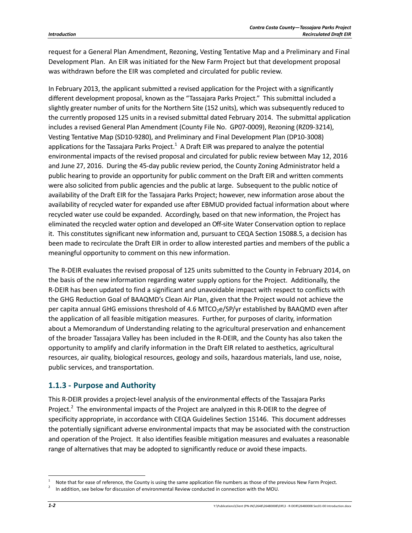request for a General Plan Amendment, Rezoning, Vesting Tentative Map and a Preliminary and Final Development Plan. An EIR was initiated for the New Farm Project but that development proposal was withdrawn before the EIR was completed and circulated for public review.

In February 2013, the applicant submitted a revised application for the Project with a significantly different development proposal, known as the "Tassajara Parks Project." This submittal included a slightly greater number of units for the Northern Site (152 units), which was subsequently reduced to the currently proposed 125 units in a revised submittal dated February 2014. The submittal application includes a revised General Plan Amendment (County File No. GP07‐0009), Rezoning (RZ09‐3214), Vesting Tentative Map (SD10‐9280), and Preliminary and Final Development Plan (DP10‐3008) applications for the Tassajara Parks Project.<sup>1</sup> A Draft EIR was prepared to analyze the potential environmental impacts of the revised proposal and circulated for public review between May 12, 2016 and June 27, 2016. During the 45‐day public review period, the County Zoning Administrator held a public hearing to provide an opportunity for public comment on the Draft EIR and written comments were also solicited from public agencies and the public at large. Subsequent to the public notice of availability of the Draft EIR for the Tassajara Parks Project; however, new information arose about the availability of recycled water for expanded use after EBMUD provided factual information about where recycled water use could be expanded. Accordingly, based on that new information, the Project has eliminated the recycled water option and developed an Off‐site Water Conservation option to replace it. This constitutes significant new information and, pursuant to CEQA Section 15088.5, a decision has been made to recirculate the Draft EIR in order to allow interested parties and members of the public a meaningful opportunity to comment on this new information.

The R‐DEIR evaluates the revised proposal of 125 units submitted to the County in February 2014, on the basis of the new information regarding water supply options for the Project. Additionally, the R‐DEIR has been updated to find a significant and unavoidable impact with respect to conflicts with the GHG Reduction Goal of BAAQMD's Clean Air Plan, given that the Project would not achieve the per capita annual GHG emissions threshold of 4.6 MTCO<sub>2</sub>e/SP/yr established by BAAQMD even after the application of all feasible mitigation measures. Further, for purposes of clarity, information about a Memorandum of Understanding relating to the agricultural preservation and enhancement of the broader Tassajara Valley has been included in the R‐DEIR, and the County has also taken the opportunity to amplify and clarify information in the Draft EIR related to aesthetics, agricultural resources, air quality, biological resources, geology and soils, hazardous materials, land use, noise, public services, and transportation.

### **1.1.3 ‐ Purpose and Authority**

This R‐DEIR provides a project‐level analysis of the environmental effects of the Tassajara Parks Project.<sup>2</sup> The environmental impacts of the Project are analyzed in this R-DEIR to the degree of specificity appropriate, in accordance with CEQA Guidelines Section 15146. This document addresses the potentially significant adverse environmental impacts that may be associated with the construction and operation of the Project. It also identifies feasible mitigation measures and evaluates a reasonable range of alternatives that may be adopted to significantly reduce or avoid these impacts.

Note that for ease of reference, the County is using the same application file numbers as those of the previous New Farm Project.

<sup>2</sup> In addition, see below for discussion of environmental Review conducted in connection with the MOU.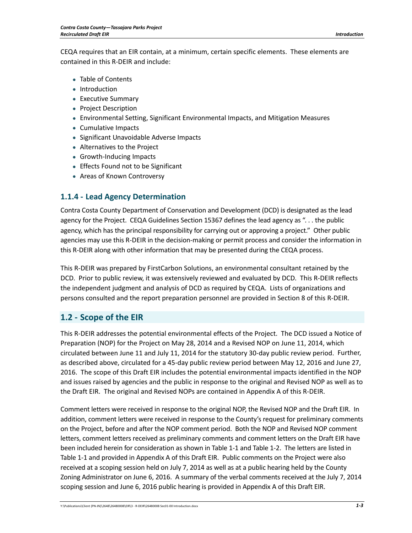CEQA requires that an EIR contain, at a minimum, certain specific elements. These elements are contained in this R‐DEIR and include:

- Table of Contents
- Introduction
- Executive Summary
- Project Description
- Environmental Setting, Significant Environmental Impacts, and Mitigation Measures
- Cumulative Impacts
- Significant Unavoidable Adverse Impacts
- Alternatives to the Project
- Growth-Inducing Impacts
- Effects Found not to be Significant
- Areas of Known Controversy

### **1.1.4 ‐ Lead Agency Determination**

Contra Costa County Department of Conservation and Development (DCD) is designated as the lead agency for the Project. CEQA Guidelines Section 15367 defines the lead agency as ". . . the public agency, which has the principal responsibility for carrying out or approving a project." Other public agencies may use this R‐DEIR in the decision‐making or permit process and consider the information in this R‐DEIR along with other information that may be presented during the CEQA process.

This R‐DEIR was prepared by FirstCarbon Solutions, an environmental consultant retained by the DCD. Prior to public review, it was extensively reviewed and evaluated by DCD. This R‐DEIR reflects the independent judgment and analysis of DCD as required by CEQA. Lists of organizations and persons consulted and the report preparation personnel are provided in Section 8 of this R‐DEIR.

### **1.2 ‐ Scope of the EIR**

This R‐DEIR addresses the potential environmental effects of the Project. The DCD issued a Notice of Preparation (NOP) for the Project on May 28, 2014 and a Revised NOP on June 11, 2014, which circulated between June 11 and July 11, 2014 for the statutory 30‐day public review period. Further, as described above, circulated for a 45‐day public review period between May 12, 2016 and June 27, 2016. The scope of this Draft EIR includes the potential environmental impacts identified in the NOP and issues raised by agencies and the public in response to the original and Revised NOP as well as to the Draft EIR. The original and Revised NOPs are contained in Appendix A of this R‐DEIR.

Comment letters were received in response to the original NOP, the Revised NOP and the Draft EIR. In addition, comment letters were received in response to the County's request for preliminary comments on the Project, before and after the NOP comment period. Both the NOP and Revised NOP comment letters, comment letters received as preliminary comments and comment letters on the Draft EIR have been included herein for consideration as shown in Table 1‐1 and Table 1‐2. The letters are listed in Table 1‐1 and provided in Appendix A of this Draft EIR. Public comments on the Project were also received at a scoping session held on July 7, 2014 as well as at a public hearing held by the County Zoning Administrator on June 6, 2016. A summary of the verbal comments received at the July 7, 2014 scoping session and June 6, 2016 public hearing is provided in Appendix A of this Draft EIR.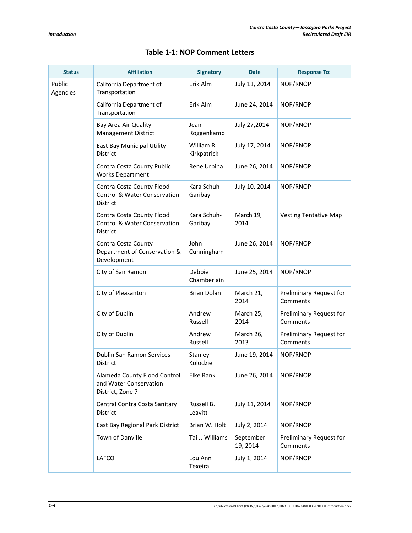| <b>Status</b>      | <b>Affiliation</b>                                                                      | <b>Signatory</b>          | <b>Date</b>           | <b>Response To:</b>                 |
|--------------------|-----------------------------------------------------------------------------------------|---------------------------|-----------------------|-------------------------------------|
| Public<br>Agencies | California Department of<br>Transportation                                              | Erik Alm                  | July 11, 2014         | NOP/RNOP                            |
|                    | California Department of<br>Transportation                                              | Erik Alm                  | June 24, 2014         | NOP/RNOP                            |
|                    | Bay Area Air Quality<br><b>Management District</b>                                      | Jean<br>Roggenkamp        | July 27,2014          | NOP/RNOP                            |
|                    | East Bay Municipal Utility<br>District                                                  | William R.<br>Kirkpatrick | July 17, 2014         | NOP/RNOP                            |
|                    | Contra Costa County Public<br><b>Works Department</b>                                   | Rene Urbina               | June 26, 2014         | NOP/RNOP                            |
|                    | Contra Costa County Flood<br><b>Control &amp; Water Conservation</b><br><b>District</b> | Kara Schuh-<br>Garibay    | July 10, 2014         | NOP/RNOP                            |
|                    | Contra Costa County Flood<br><b>Control &amp; Water Conservation</b><br><b>District</b> | Kara Schuh-<br>Garibay    | March 19,<br>2014     | <b>Vesting Tentative Map</b>        |
|                    | Contra Costa County<br>Department of Conservation &<br>Development                      | John<br>Cunningham        | June 26, 2014         | NOP/RNOP                            |
|                    | City of San Ramon                                                                       | Debbie<br>Chamberlain     | June 25, 2014         | NOP/RNOP                            |
|                    | City of Pleasanton                                                                      | <b>Brian Dolan</b>        | March 21,<br>2014     | Preliminary Request for<br>Comments |
|                    | City of Dublin                                                                          | Andrew<br>Russell         | March 25,<br>2014     | Preliminary Request for<br>Comments |
|                    | City of Dublin                                                                          | Andrew<br>Russell         | March 26,<br>2013     | Preliminary Request for<br>Comments |
|                    | Dublin San Ramon Services<br><b>District</b>                                            | Stanley<br>Kolodzie       | June 19, 2014         | NOP/RNOP                            |
|                    | Alameda County Flood Control<br>and Water Conservation<br>District, Zone 7              | Elke Rank                 | June 26, 2014         | NOP/RNOP                            |
|                    | Central Contra Costa Sanitary<br><b>District</b>                                        | Russell B.<br>Leavitt     | July 11, 2014         | NOP/RNOP                            |
|                    | East Bay Regional Park District                                                         | Brian W. Holt             | July 2, 2014          | NOP/RNOP                            |
|                    | Town of Danville                                                                        | Tai J. Williams           | September<br>19, 2014 | Preliminary Request for<br>Comments |
|                    | LAFCO                                                                                   | Lou Ann<br>Texeira        | July 1, 2014          | NOP/RNOP                            |

#### **Table 1‐1: NOP Comment Letters**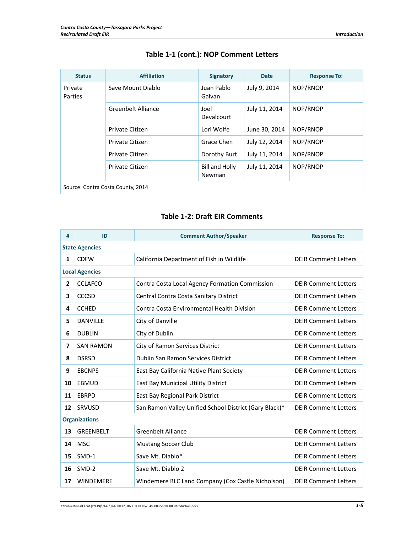| <b>Status</b>                     | <b>Affiliation</b> | <b>Signatory</b>                | <b>Date</b>   | <b>Response To:</b> |  |
|-----------------------------------|--------------------|---------------------------------|---------------|---------------------|--|
| Private<br>Parties                | Save Mount Diablo  | Juan Pablo<br>Galvan            | July 9, 2014  | NOP/RNOP            |  |
|                                   | Greenbelt Alliance | Joel<br><b>Devalcourt</b>       | July 11, 2014 | NOP/RNOP            |  |
|                                   | Private Citizen    | Lori Wolfe                      | June 30, 2014 | NOP/RNOP            |  |
|                                   | Private Citizen    | Grace Chen                      | July 12, 2014 | NOP/RNOP            |  |
|                                   | Private Citizen    | Dorothy Burt                    | July 11, 2014 | NOP/RNOP            |  |
|                                   | Private Citizen    | Bill and Holly<br><b>Newman</b> | July 11, 2014 | NOP/RNOP            |  |
| Source: Contra Costa County, 2014 |                    |                                 |               |                     |  |

## **Table 1‐1 (cont.): NOP Comment Letters**

#### **Table 1‐2: Draft EIR Comments**

| #                        | ID                    | <b>Comment Author/Speaker</b>                          | <b>Response To:</b>         |  |  |
|--------------------------|-----------------------|--------------------------------------------------------|-----------------------------|--|--|
|                          | <b>State Agencies</b> |                                                        |                             |  |  |
| 1                        | <b>CDFW</b>           | California Department of Fish in Wildlife              | <b>DEIR Comment Letters</b> |  |  |
|                          | <b>Local Agencies</b> |                                                        |                             |  |  |
| $\overline{2}$           | <b>CCLAFCO</b>        | Contra Costa Local Agency Formation Commission         | <b>DEIR Comment Letters</b> |  |  |
| 3                        | <b>CCCSD</b>          | Central Contra Costa Sanitary District                 | <b>DEIR Comment Letters</b> |  |  |
| 4                        | <b>CCHED</b>          | Contra Costa Environmental Health Division             | <b>DEIR Comment Letters</b> |  |  |
| 5                        | <b>DANVILLE</b>       | City of Danville                                       | <b>DEIR Comment Letters</b> |  |  |
| 6                        | <b>DUBLIN</b>         | City of Dublin                                         | <b>DEIR Comment Letters</b> |  |  |
| $\overline{\phantom{a}}$ | <b>SAN RAMON</b>      | City of Ramon Services District                        | <b>DEIR Comment Letters</b> |  |  |
| 8                        | <b>DSRSD</b>          | <b>Dublin San Ramon Services District</b>              | <b>DEIR Comment Letters</b> |  |  |
| 9                        | <b>EBCNPS</b>         | East Bay California Native Plant Society               | <b>DEIR Comment Letters</b> |  |  |
| 10                       | <b>EBMUD</b>          | East Bay Municipal Utility District                    | <b>DEIR Comment Letters</b> |  |  |
| 11                       | <b>EBRPD</b>          | East Bay Regional Park District                        | <b>DEIR Comment Letters</b> |  |  |
| 12                       | SRVUSD                | San Ramon Valley Unified School District (Gary Black)* | <b>DEIR Comment Letters</b> |  |  |
| <b>Organizations</b>     |                       |                                                        |                             |  |  |
| 13                       | <b>GREENBELT</b>      | <b>Greenbelt Alliance</b>                              | <b>DEIR Comment Letters</b> |  |  |
| 14                       | <b>MSC</b>            | <b>Mustang Soccer Club</b>                             | <b>DEIR Comment Letters</b> |  |  |
| 15                       | SMD-1                 | Save Mt. Diablo*                                       | <b>DEIR Comment Letters</b> |  |  |
| 16                       | SMD-2                 | Save Mt. Diablo 2                                      | <b>DEIR Comment Letters</b> |  |  |
| 17                       | <b>WINDEMERE</b>      | Windemere BLC Land Company (Cox Castle Nicholson)      | <b>DEIR Comment Letters</b> |  |  |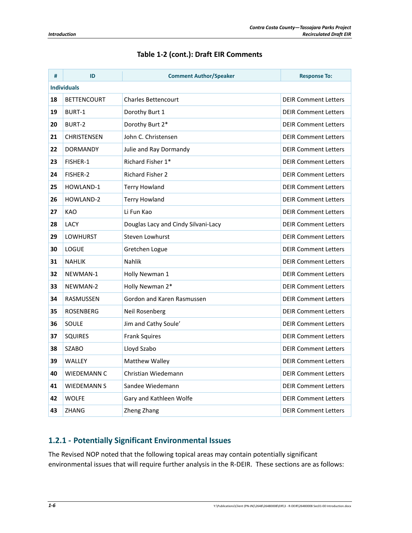| #  | ID                 | <b>Comment Author/Speaker</b>       | <b>Response To:</b>         |  |  |
|----|--------------------|-------------------------------------|-----------------------------|--|--|
|    | <b>Individuals</b> |                                     |                             |  |  |
| 18 | <b>BETTENCOURT</b> | Charles Bettencourt                 | <b>DEIR Comment Letters</b> |  |  |
| 19 | <b>BURT-1</b>      | Dorothy Burt 1                      | <b>DEIR Comment Letters</b> |  |  |
| 20 | BURT-2             | Dorothy Burt 2*                     | <b>DEIR Comment Letters</b> |  |  |
| 21 | <b>CHRISTENSEN</b> | John C. Christensen                 | <b>DEIR Comment Letters</b> |  |  |
| 22 | <b>DORMANDY</b>    | Julie and Ray Dormandy              | <b>DEIR Comment Letters</b> |  |  |
| 23 | FISHER-1           | Richard Fisher 1*                   | <b>DEIR Comment Letters</b> |  |  |
| 24 | FISHER-2           | <b>Richard Fisher 2</b>             | <b>DEIR Comment Letters</b> |  |  |
| 25 | HOWLAND-1          | Terry Howland                       | <b>DEIR Comment Letters</b> |  |  |
| 26 | HOWLAND-2          | <b>Terry Howland</b>                | <b>DEIR Comment Letters</b> |  |  |
| 27 | KAO                | Li Fun Kao                          | <b>DEIR Comment Letters</b> |  |  |
| 28 | <b>LACY</b>        | Douglas Lacy and Cindy Silvani-Lacy | <b>DEIR Comment Letters</b> |  |  |
| 29 | LOWHURST           | Steven Lowhurst                     | <b>DEIR Comment Letters</b> |  |  |
| 30 | <b>LOGUE</b>       | Gretchen Logue                      | <b>DEIR Comment Letters</b> |  |  |
| 31 | <b>NAHLIK</b>      | <b>Nahlik</b>                       | <b>DEIR Comment Letters</b> |  |  |
| 32 | NEWMAN-1           | Holly Newman 1                      | <b>DEIR Comment Letters</b> |  |  |
| 33 | NEWMAN-2           | Holly Newman 2*                     | <b>DEIR Comment Letters</b> |  |  |
| 34 | RASMUSSEN          | Gordon and Karen Rasmussen          | <b>DEIR Comment Letters</b> |  |  |
| 35 | <b>ROSENBERG</b>   | Neil Rosenberg                      | <b>DEIR Comment Letters</b> |  |  |
| 36 | SOULE              | Jim and Cathy Soule'                | <b>DEIR Comment Letters</b> |  |  |
| 37 | <b>SQUIRES</b>     | <b>Frank Squires</b>                | <b>DEIR Comment Letters</b> |  |  |
| 38 | <b>SZABO</b>       | Lloyd Szabo                         | <b>DEIR Comment Letters</b> |  |  |
| 39 | WALLEY             | Matthew Walley                      | <b>DEIR Comment Letters</b> |  |  |
| 40 | WIEDEMANN C        | Christian Wiedemann                 | <b>DEIR Comment Letters</b> |  |  |
| 41 | <b>WIEDEMANN S</b> | Sandee Wiedemann                    | <b>DEIR Comment Letters</b> |  |  |
| 42 | WOLFE              | Gary and Kathleen Wolfe             | <b>DEIR Comment Letters</b> |  |  |
| 43 | <b>ZHANG</b>       | Zheng Zhang                         | <b>DEIR Comment Letters</b> |  |  |

## **Table 1‐2 (cont.): Draft EIR Comments**

### **1.2.1 ‐ Potentially Significant Environmental Issues**

The Revised NOP noted that the following topical areas may contain potentially significant environmental issues that will require further analysis in the R‐DEIR. These sections are as follows: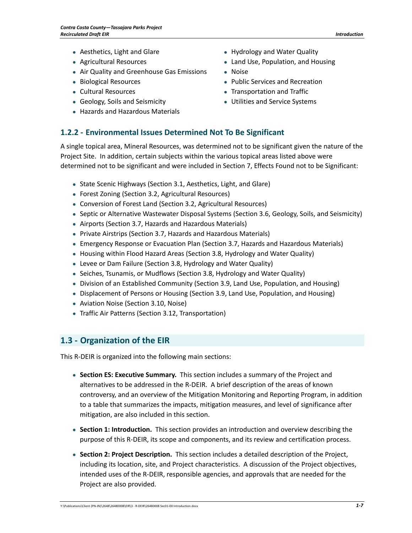- Aesthetics, Light and Glare
- Agricultural Resources
- Air Quality and Greenhouse Gas Emissions
- Biological Resources
- Cultural Resources
- Geology, Soils and Seismicity
- Hazards and Hazardous Materials
- **1.2.2 ‐ Environmental Issues Determined Not To Be Significant**

A single topical area, Mineral Resources, was determined not to be significant given the nature of the Project Site. In addition, certain subjects within the various topical areas listed above were determined not to be significant and were included in Section 7, Effects Found not to be Significant:

- State Scenic Highways (Section 3.1, Aesthetics, Light, and Glare)
- Forest Zoning (Section 3.2, Agricultural Resources)
- Conversion of Forest Land (Section 3.2, Agricultural Resources)
- Septic or Alternative Wastewater Disposal Systems (Section 3.6, Geology, Soils, and Seismicity)
- Airports (Section 3.7, Hazards and Hazardous Materials)
- Private Airstrips (Section 3.7, Hazards and Hazardous Materials)
- Emergency Response or Evacuation Plan (Section 3.7, Hazards and Hazardous Materials)
- Housing within Flood Hazard Areas (Section 3.8, Hydrology and Water Quality)
- Levee or Dam Failure (Section 3.8, Hydrology and Water Quality)
- Seiches, Tsunamis, or Mudflows (Section 3.8, Hydrology and Water Quality)
- Division of an Established Community (Section 3.9, Land Use, Population, and Housing)
- Displacement of Persons or Housing (Section 3.9, Land Use, Population, and Housing)
- Aviation Noise (Section 3.10, Noise)
- Traffic Air Patterns (Section 3.12, Transportation)

## **1.3 ‐ Organization of the EIR**

This R‐DEIR is organized into the following main sections:

- **Section ES: Executive Summary.** This section includes a summary of the Project and alternatives to be addressed in the R‐DEIR. A brief description of the areas of known controversy, and an overview of the Mitigation Monitoring and Reporting Program, in addition to a table that summarizes the impacts, mitigation measures, and level of significance after mitigation, are also included in this section.
- **Section 1: Introduction.** This section provides an introduction and overview describing the purpose of this R‐DEIR, its scope and components, and its review and certification process.
- **Section 2: Project Description.** This section includes a detailed description of the Project, including its location, site, and Project characteristics. A discussion of the Project objectives, intended uses of the R‐DEIR, responsible agencies, and approvals that are needed for the Project are also provided.
- Hydrology and Water Quality
- Land Use, Population, and Housing
- Noise
- Public Services and Recreation
- Transportation and Traffic
- Utilities and Service Systems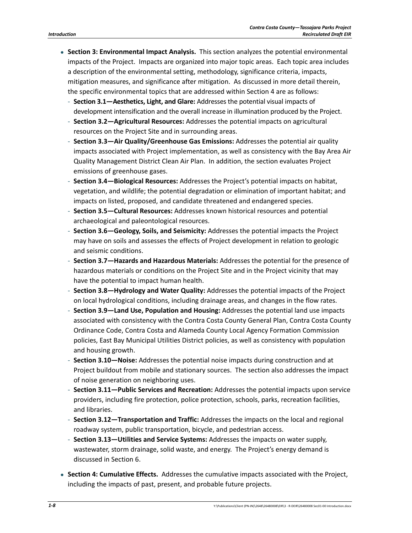- **Section 3: Environmental Impact Analysis.** This section analyzes the potential environmental impacts of the Project. Impacts are organized into major topic areas. Each topic area includes a description of the environmental setting, methodology, significance criteria, impacts, mitigation measures, and significance after mitigation. As discussed in more detail therein, the specific environmental topics that are addressed within Section 4 are as follows:
	- ‐ **Section 3.1—Aesthetics, Light, and Glare:** Addresses the potential visual impacts of development intensification and the overall increase in illumination produced by the Project.
	- ‐ **Section 3.2—Agricultural Resources:** Addresses the potential impacts on agricultural resources on the Project Site and in surrounding areas.
	- ‐ **Section 3.3—Air Quality/Greenhouse Gas Emissions:** Addresses the potential air quality impacts associated with Project implementation, as well as consistency with the Bay Area Air Quality Management District Clean Air Plan. In addition, the section evaluates Project emissions of greenhouse gases.
	- ‐ **Section 3.4—Biological Resources:** Addresses the Project's potential impacts on habitat, vegetation, and wildlife; the potential degradation or elimination of important habitat; and impacts on listed, proposed, and candidate threatened and endangered species.
	- ‐ **Section 3.5—Cultural Resources:** Addresses known historical resources and potential archaeological and paleontological resources.
	- ‐ **Section 3.6—Geology, Soils, and Seismicity:** Addresses the potential impacts the Project may have on soils and assesses the effects of Project development in relation to geologic and seismic conditions.
	- ‐ **Section 3.7—Hazards and Hazardous Materials:** Addresses the potential for the presence of hazardous materials or conditions on the Project Site and in the Project vicinity that may have the potential to impact human health.
	- ‐ **Section 3.8—Hydrology and Water Quality:** Addresses the potential impacts of the Project on local hydrological conditions, including drainage areas, and changes in the flow rates.
	- ‐ **Section 3.9—Land Use, Population and Housing:** Addresses the potential land use impacts associated with consistency with the Contra Costa County General Plan, Contra Costa County Ordinance Code, Contra Costa and Alameda County Local Agency Formation Commission policies, East Bay Municipal Utilities District policies, as well as consistency with population and housing growth.
	- ‐ **Section 3.10—Noise:** Addresses the potential noise impacts during construction and at Project buildout from mobile and stationary sources. The section also addresses the impact of noise generation on neighboring uses.
	- ‐ **Section 3.11—Public Services and Recreation:** Addresses the potential impacts upon service providers, including fire protection, police protection, schools, parks, recreation facilities, and libraries.
	- ‐ **Section 3.12—Transportation and Traffic:** Addresses the impacts on the local and regional roadway system, public transportation, bicycle, and pedestrian access.
	- ‐ **Section 3.13—Utilities and Service Systems:** Addresses the impacts on water supply, wastewater, storm drainage, solid waste, and energy. The Project's energy demand is discussed in Section 6.
- **Section 4: Cumulative Effects.** Addresses the cumulative impacts associated with the Project, including the impacts of past, present, and probable future projects.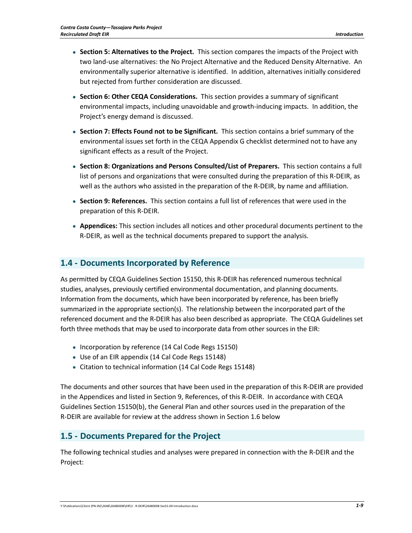- **Section 5: Alternatives to the Project.** This section compares the impacts of the Project with two land‐use alternatives: the No Project Alternative and the Reduced Density Alternative. An environmentally superior alternative is identified. In addition, alternatives initially considered but rejected from further consideration are discussed.
- **Section 6: Other CEQA Considerations.** This section provides a summary of significant environmental impacts, including unavoidable and growth‐inducing impacts. In addition, the Project's energy demand is discussed.
- **Section 7: Effects Found not to be Significant.** This section contains a brief summary of the environmental issues set forth in the CEQA Appendix G checklist determined not to have any significant effects as a result of the Project.
- **Section 8: Organizations and Persons Consulted/List of Preparers.** This section contains a full list of persons and organizations that were consulted during the preparation of this R‐DEIR, as well as the authors who assisted in the preparation of the R-DEIR, by name and affiliation.
- **Section 9: References.** This section contains a full list of references that were used in the preparation of this R‐DEIR.
- **Appendices:** This section includes all notices and other procedural documents pertinent to the R‐DEIR, as well as the technical documents prepared to support the analysis.

### **1.4 ‐ Documents Incorporated by Reference**

As permitted by CEQA Guidelines Section 15150, this R‐DEIR has referenced numerous technical studies, analyses, previously certified environmental documentation, and planning documents. Information from the documents, which have been incorporated by reference, has been briefly summarized in the appropriate section(s). The relationship between the incorporated part of the referenced document and the R‐DEIR has also been described as appropriate. The CEQA Guidelines set forth three methods that may be used to incorporate data from other sources in the EIR:

- Incorporation by reference (14 Cal Code Regs 15150)
- Use of an EIR appendix (14 Cal Code Regs 15148)
- Citation to technical information (14 Cal Code Regs 15148)

The documents and other sources that have been used in the preparation of this R‐DEIR are provided in the Appendices and listed in Section 9, References, of this R‐DEIR. In accordance with CEQA Guidelines Section 15150(b), the General Plan and other sources used in the preparation of the R‐DEIR are available for review at the address shown in Section 1.6 below

## **1.5 ‐ Documents Prepared for the Project**

The following technical studies and analyses were prepared in connection with the R‐DEIR and the Project: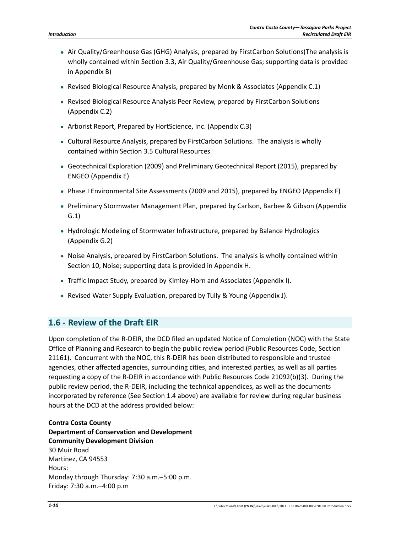- Air Quality/Greenhouse Gas (GHG) Analysis, prepared by FirstCarbon Solutions(The analysis is wholly contained within Section 3.3, Air Quality/Greenhouse Gas; supporting data is provided in Appendix B)
- Revised Biological Resource Analysis, prepared by Monk & Associates (Appendix C.1)
- Revised Biological Resource Analysis Peer Review, prepared by FirstCarbon Solutions (Appendix C.2)
- Arborist Report, Prepared by HortScience, Inc. (Appendix C.3)
- Cultural Resource Analysis, prepared by FirstCarbon Solutions. The analysis is wholly contained within Section 3.5 Cultural Resources.
- Geotechnical Exploration (2009) and Preliminary Geotechnical Report (2015), prepared by ENGEO (Appendix E).
- Phase I Environmental Site Assessments (2009 and 2015), prepared by ENGEO (Appendix F)
- Preliminary Stormwater Management Plan, prepared by Carlson, Barbee & Gibson (Appendix G.1)
- Hydrologic Modeling of Stormwater Infrastructure, prepared by Balance Hydrologics (Appendix G.2)
- Noise Analysis, prepared by FirstCarbon Solutions. The analysis is wholly contained within Section 10, Noise; supporting data is provided in Appendix H.
- Traffic Impact Study, prepared by Kimley‐Horn and Associates (Appendix I).
- Revised Water Supply Evaluation, prepared by Tully & Young (Appendix J).

## **1.6 ‐ Review of the Draft EIR**

Upon completion of the R‐DEIR, the DCD filed an updated Notice of Completion (NOC) with the State Office of Planning and Research to begin the public review period (Public Resources Code, Section 21161). Concurrent with the NOC, this R‐DEIR has been distributed to responsible and trustee agencies, other affected agencies, surrounding cities, and interested parties, as well as all parties requesting a copy of the R‐DEIR in accordance with Public Resources Code 21092(b)(3). During the public review period, the R‐DEIR, including the technical appendices, as well as the documents incorporated by reference (See Section 1.4 above) are available for review during regular business hours at the DCD at the address provided below:

**Contra Costa County Department of Conservation and Development Community Development Division** 30 Muir Road Martinez, CA 94553 Hours: Monday through Thursday: 7:30 a.m.–5:00 p.m. Friday: 7:30 a.m.–4:00 p.m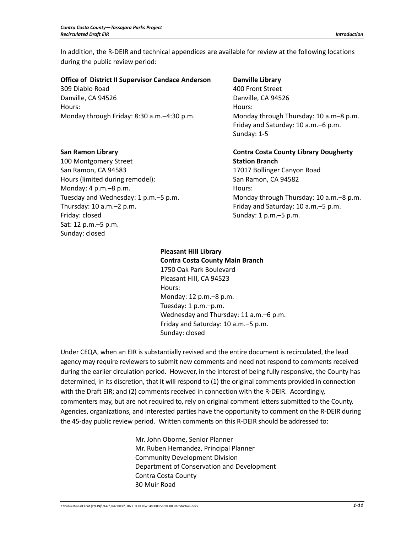In addition, the R‐DEIR and technical appendices are available for review at the following locations during the public review period:

#### **Office of District II Supervisor Candace Anderson**

309 Diablo Road Danville, CA 94526 Hours: Monday through Friday: 8:30 a.m.–4:30 p.m.

#### **Danville Library**

400 Front Street Danville, CA 94526 Hours: Monday through Thursday: 10 a.m–8 p.m. Friday and Saturday: 10 a.m.–6 p.m. Sunday: 1‐5

#### **San Ramon Library**

100 Montgomery Street San Ramon, CA 94583 Hours (limited during remodel): Monday: 4 p.m.–8 p.m. Tuesday and Wednesday: 1 p.m.–5 p.m. Thursday: 10 a.m.–2 p.m. Friday: closed Sat: 12 p.m.–5 p.m. Sunday: closed

#### **Contra Costa County Library Dougherty Station Branch**  17017 Bollinger Canyon Road San Ramon, CA 94582 Hours: Monday through Thursday: 10 a.m.–8 p.m.

Friday and Saturday: 10 a.m.–5 p.m. Sunday: 1 p.m.–5 p.m.

#### **Pleasant Hill Library Contra Costa County Main Branch** 1750 Oak Park Boulevard Pleasant Hill, CA 94523 Hours: Monday: 12 p.m.–8 p.m. Tuesday: 1 p.m.–p.m. Wednesday and Thursday: 11 a.m.–6 p.m. Friday and Saturday: 10 a.m.–5 p.m. Sunday: closed

Under CEQA, when an EIR is substantially revised and the entire document is recirculated, the lead agency may require reviewers to submit new comments and need not respond to comments received during the earlier circulation period. However, in the interest of being fully responsive, the County has determined, in its discretion, that it will respond to (1) the original comments provided in connection with the Draft EIR; and (2) comments received in connection with the R-DEIR. Accordingly, commenters may, but are not required to, rely on original comment letters submitted to the County. Agencies, organizations, and interested parties have the opportunity to comment on the R‐DEIR during the 45-day public review period. Written comments on this R-DEIR should be addressed to:

> Mr. John Oborne, Senior Planner Mr. Ruben Hernandez, Principal Planner Community Development Division Department of Conservation and Development Contra Costa County 30 Muir Road